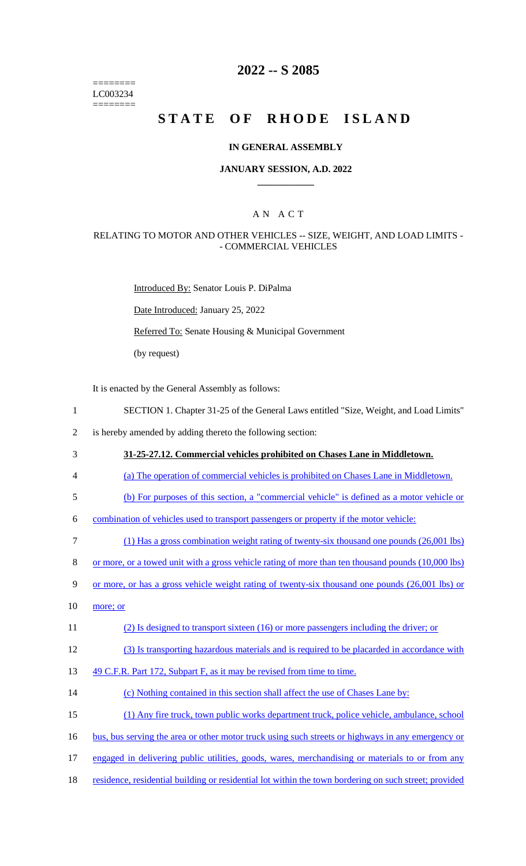======== LC003234 ========

### **2022 -- S 2085**

# **STATE OF RHODE ISLAND**

#### **IN GENERAL ASSEMBLY**

#### **JANUARY SESSION, A.D. 2022 \_\_\_\_\_\_\_\_\_\_\_\_**

### A N A C T

#### RELATING TO MOTOR AND OTHER VEHICLES -- SIZE, WEIGHT, AND LOAD LIMITS - - COMMERCIAL VEHICLES

Introduced By: Senator Louis P. DiPalma

Date Introduced: January 25, 2022

Referred To: Senate Housing & Municipal Government

(by request)

It is enacted by the General Assembly as follows:

- 1 SECTION 1. Chapter 31-25 of the General Laws entitled "Size, Weight, and Load Limits"
- 2 is hereby amended by adding thereto the following section:
- 3 **31-25-27.12. Commercial vehicles prohibited on Chases Lane in Middletown.**
- 4 (a) The operation of commercial vehicles is prohibited on Chases Lane in Middletown.
- 5 (b) For purposes of this section, a "commercial vehicle" is defined as a motor vehicle or

6 combination of vehicles used to transport passengers or property if the motor vehicle:

- 7 (1) Has a gross combination weight rating of twenty-six thousand one pounds (26,001 lbs)
- 8 or more, or a towed unit with a gross vehicle rating of more than ten thousand pounds (10,000 lbs)
- 9 or more, or has a gross vehicle weight rating of twenty-six thousand one pounds (26,001 lbs) or
- $10$  more; or
- 11 (2) Is designed to transport sixteen (16) or more passengers including the driver; or
- 12 (3) Is transporting hazardous materials and is required to be placarded in accordance with
- 13 49 C.F.R. Part 172, Subpart F, as it may be revised from time to time.
- 14 (c) Nothing contained in this section shall affect the use of Chases Lane by:
- 15 (1) Any fire truck, town public works department truck, police vehicle, ambulance, school
- 16 bus, bus serving the area or other motor truck using such streets or highways in any emergency or
- 17 engaged in delivering public utilities, goods, wares, merchandising or materials to or from any
- 18 residence, residential building or residential lot within the town bordering on such street; provided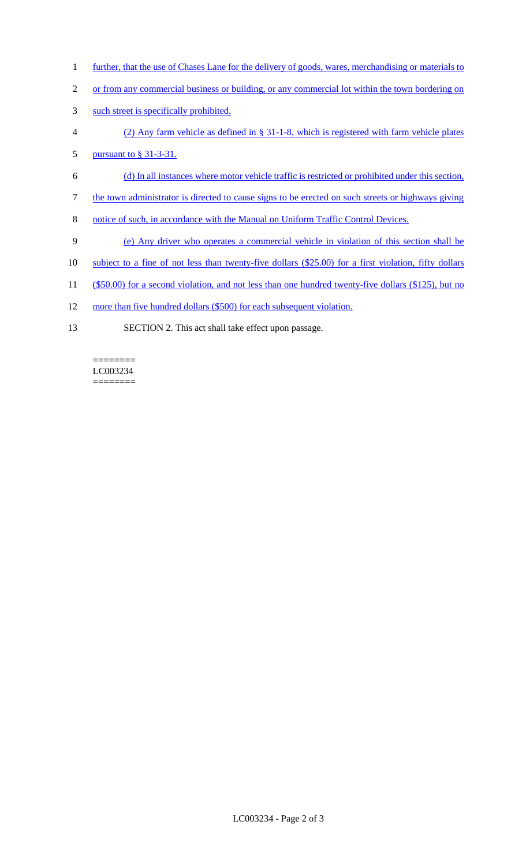- 1 further, that the use of Chases Lane for the delivery of goods, wares, merchandising or materials to
- 2 or from any commercial business or building, or any commercial lot within the town bordering on
- 3 such street is specifically prohibited.
- 4 (2) Any farm vehicle as defined in § 31-1-8, which is registered with farm vehicle plates
- 5 <u>pursuant to § 31-3-31.</u>
- 6 (d) In all instances where motor vehicle traffic is restricted or prohibited under this section,
- 7 the town administrator is directed to cause signs to be erected on such streets or highways giving
- 8 notice of such, in accordance with the Manual on Uniform Traffic Control Devices.
- 9 (e) Any driver who operates a commercial vehicle in violation of this section shall be
- 10 subject to a fine of not less than twenty-five dollars (\$25.00) for a first violation, fifty dollars
- 11 (\$50.00) for a second violation, and not less than one hundred twenty-five dollars (\$125), but no
- 12 more than five hundred dollars (\$500) for each subsequent violation.
- 13 SECTION 2. This act shall take effect upon passage.

#### LC003234  $=$

 $=$